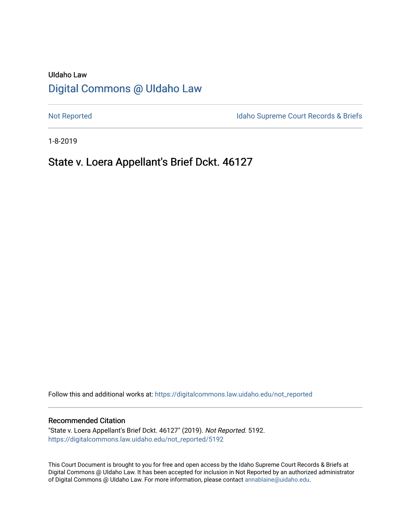## UIdaho Law [Digital Commons @ UIdaho Law](https://digitalcommons.law.uidaho.edu/)

[Not Reported](https://digitalcommons.law.uidaho.edu/not_reported) **Idaho Supreme Court Records & Briefs** 

1-8-2019

# State v. Loera Appellant's Brief Dckt. 46127

Follow this and additional works at: [https://digitalcommons.law.uidaho.edu/not\\_reported](https://digitalcommons.law.uidaho.edu/not_reported?utm_source=digitalcommons.law.uidaho.edu%2Fnot_reported%2F5192&utm_medium=PDF&utm_campaign=PDFCoverPages) 

#### Recommended Citation

"State v. Loera Appellant's Brief Dckt. 46127" (2019). Not Reported. 5192. [https://digitalcommons.law.uidaho.edu/not\\_reported/5192](https://digitalcommons.law.uidaho.edu/not_reported/5192?utm_source=digitalcommons.law.uidaho.edu%2Fnot_reported%2F5192&utm_medium=PDF&utm_campaign=PDFCoverPages)

This Court Document is brought to you for free and open access by the Idaho Supreme Court Records & Briefs at Digital Commons @ UIdaho Law. It has been accepted for inclusion in Not Reported by an authorized administrator of Digital Commons @ UIdaho Law. For more information, please contact [annablaine@uidaho.edu](mailto:annablaine@uidaho.edu).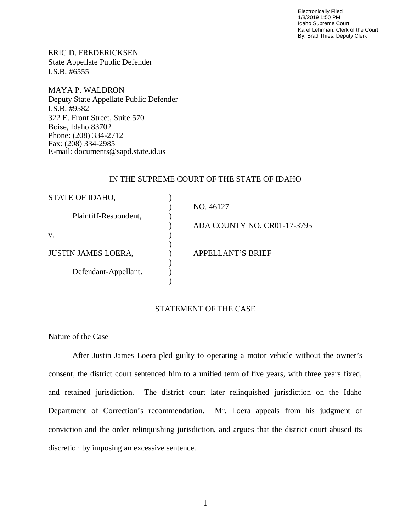Electronically Filed 1/8/2019 1:50 PM Idaho Supreme Court Karel Lehrman, Clerk of the Court By: Brad Thies, Deputy Clerk

ERIC D. FREDERICKSEN State Appellate Public Defender I.S.B. #6555

MAYA P. WALDRON Deputy State Appellate Public Defender I.S.B. #9582 322 E. Front Street, Suite 570 Boise, Idaho 83702 Phone: (208) 334-2712 Fax: (208) 334-2985 E-mail: documents@sapd.state.id.us

## IN THE SUPREME COURT OF THE STATE OF IDAHO

| STATE OF IDAHO,            |                             |
|----------------------------|-----------------------------|
|                            | NO. 46127                   |
| Plaintiff-Respondent,      |                             |
|                            | ADA COUNTY NO. CR01-17-3795 |
| V.                         |                             |
|                            |                             |
| <b>JUSTIN JAMES LOERA,</b> | <b>APPELLANT'S BRIEF</b>    |
|                            |                             |
| Defendant-Appellant.       |                             |
|                            |                             |

## STATEMENT OF THE CASE

## Nature of the Case

After Justin James Loera pled guilty to operating a motor vehicle without the owner's consent, the district court sentenced him to a unified term of five years, with three years fixed, and retained jurisdiction. The district court later relinquished jurisdiction on the Idaho Department of Correction's recommendation. Mr. Loera appeals from his judgment of conviction and the order relinquishing jurisdiction, and argues that the district court abused its discretion by imposing an excessive sentence.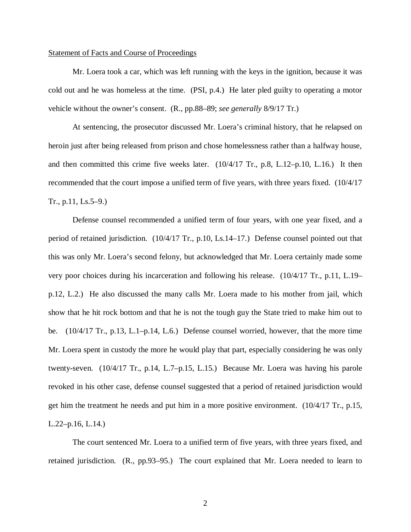#### Statement of Facts and Course of Proceedings

Mr. Loera took a car, which was left running with the keys in the ignition, because it was cold out and he was homeless at the time. (PSI, p.4.) He later pled guilty to operating a motor vehicle without the owner's consent. (R., pp.88–89; *see generally* 8/9/17 Tr.)

At sentencing, the prosecutor discussed Mr. Loera's criminal history, that he relapsed on heroin just after being released from prison and chose homelessness rather than a halfway house, and then committed this crime five weeks later. (10/4/17 Tr., p.8, L.12–p.10, L.16.) It then recommended that the court impose a unified term of five years, with three years fixed. (10/4/17 Tr., p.11, Ls.5–9.)

Defense counsel recommended a unified term of four years, with one year fixed, and a period of retained jurisdiction. (10/4/17 Tr., p.10, Ls.14–17.) Defense counsel pointed out that this was only Mr. Loera's second felony, but acknowledged that Mr. Loera certainly made some very poor choices during his incarceration and following his release. (10/4/17 Tr., p.11, L.19– p.12, L.2.) He also discussed the many calls Mr. Loera made to his mother from jail, which show that he hit rock bottom and that he is not the tough guy the State tried to make him out to be. (10/4/17 Tr., p.13, L.1–p.14, L.6.) Defense counsel worried, however, that the more time Mr. Loera spent in custody the more he would play that part, especially considering he was only twenty-seven. (10/4/17 Tr., p.14, L.7–p.15, L.15.) Because Mr. Loera was having his parole revoked in his other case, defense counsel suggested that a period of retained jurisdiction would get him the treatment he needs and put him in a more positive environment. (10/4/17 Tr., p.15, L.22–p.16, L.14.)

The court sentenced Mr. Loera to a unified term of five years, with three years fixed, and retained jurisdiction. (R., pp.93–95.) The court explained that Mr. Loera needed to learn to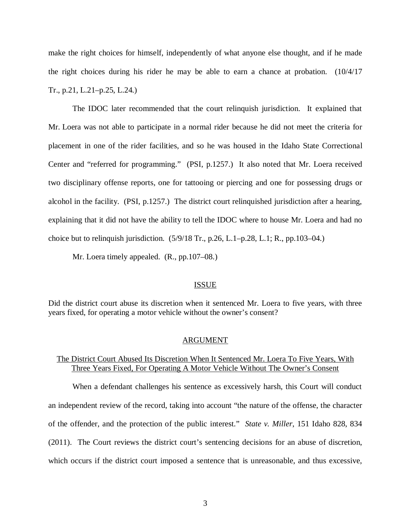make the right choices for himself, independently of what anyone else thought, and if he made the right choices during his rider he may be able to earn a chance at probation. (10/4/17 Tr., p.21, L.21–p.25, L.24.)

The IDOC later recommended that the court relinquish jurisdiction. It explained that Mr. Loera was not able to participate in a normal rider because he did not meet the criteria for placement in one of the rider facilities, and so he was housed in the Idaho State Correctional Center and "referred for programming." (PSI, p.1257.) It also noted that Mr. Loera received two disciplinary offense reports, one for tattooing or piercing and one for possessing drugs or alcohol in the facility. (PSI, p.1257.) The district court relinquished jurisdiction after a hearing, explaining that it did not have the ability to tell the IDOC where to house Mr. Loera and had no choice but to relinquish jurisdiction.  $(5/9/18 \text{ Tr.}, p.26, L.1-p.28, L.1; R., pp.103-04.)$ 

Mr. Loera timely appealed. (R., pp.107–08.)

#### ISSUE

Did the district court abuse its discretion when it sentenced Mr. Loera to five years, with three years fixed, for operating a motor vehicle without the owner's consent?

#### ARGUMENT

## The District Court Abused Its Discretion When It Sentenced Mr. Loera To Five Years, With Three Years Fixed, For Operating A Motor Vehicle Without The Owner's Consent

When a defendant challenges his sentence as excessively harsh, this Court will conduct an independent review of the record, taking into account "the nature of the offense, the character of the offender, and the protection of the public interest." *State v. Miller*, 151 Idaho 828, 834 (2011). The Court reviews the district court's sentencing decisions for an abuse of discretion, which occurs if the district court imposed a sentence that is unreasonable, and thus excessive,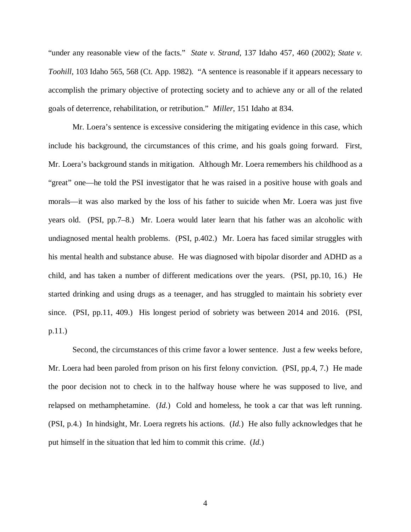"under any reasonable view of the facts." *State v. Strand*, 137 Idaho 457, 460 (2002); *State v. Toohill*, 103 Idaho 565, 568 (Ct. App. 1982). "A sentence is reasonable if it appears necessary to accomplish the primary objective of protecting society and to achieve any or all of the related goals of deterrence, rehabilitation, or retribution." *Miller*, 151 Idaho at 834.

Mr. Loera's sentence is excessive considering the mitigating evidence in this case, which include his background, the circumstances of this crime, and his goals going forward. First, Mr. Loera's background stands in mitigation. Although Mr. Loera remembers his childhood as a "great" one—he told the PSI investigator that he was raised in a positive house with goals and morals—it was also marked by the loss of his father to suicide when Mr. Loera was just five years old. (PSI, pp.7–8.) Mr. Loera would later learn that his father was an alcoholic with undiagnosed mental health problems. (PSI, p.402.) Mr. Loera has faced similar struggles with his mental health and substance abuse. He was diagnosed with bipolar disorder and ADHD as a child, and has taken a number of different medications over the years. (PSI, pp.10, 16.) He started drinking and using drugs as a teenager, and has struggled to maintain his sobriety ever since. (PSI, pp.11, 409.) His longest period of sobriety was between 2014 and 2016. (PSI, p.11.)

Second, the circumstances of this crime favor a lower sentence. Just a few weeks before, Mr. Loera had been paroled from prison on his first felony conviction. (PSI, pp.4, 7.) He made the poor decision not to check in to the halfway house where he was supposed to live, and relapsed on methamphetamine. (*Id.*) Cold and homeless, he took a car that was left running. (PSI, p.4.) In hindsight, Mr. Loera regrets his actions. (*Id.*) He also fully acknowledges that he put himself in the situation that led him to commit this crime. (*Id.*)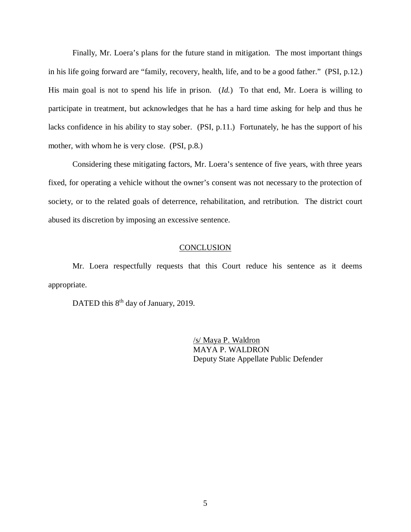Finally, Mr. Loera's plans for the future stand in mitigation. The most important things in his life going forward are "family, recovery, health, life, and to be a good father." (PSI, p.12.) His main goal is not to spend his life in prison. (*Id.*) To that end, Mr. Loera is willing to participate in treatment, but acknowledges that he has a hard time asking for help and thus he lacks confidence in his ability to stay sober. (PSI, p.11.) Fortunately, he has the support of his mother, with whom he is very close. (PSI, p.8.)

Considering these mitigating factors, Mr. Loera's sentence of five years, with three years fixed, for operating a vehicle without the owner's consent was not necessary to the protection of society, or to the related goals of deterrence, rehabilitation, and retribution. The district court abused its discretion by imposing an excessive sentence.

## **CONCLUSION**

Mr. Loera respectfully requests that this Court reduce his sentence as it deems appropriate.

DATED this 8<sup>th</sup> day of January, 2019.

/s/ Maya P. Waldron MAYA P. WALDRON Deputy State Appellate Public Defender